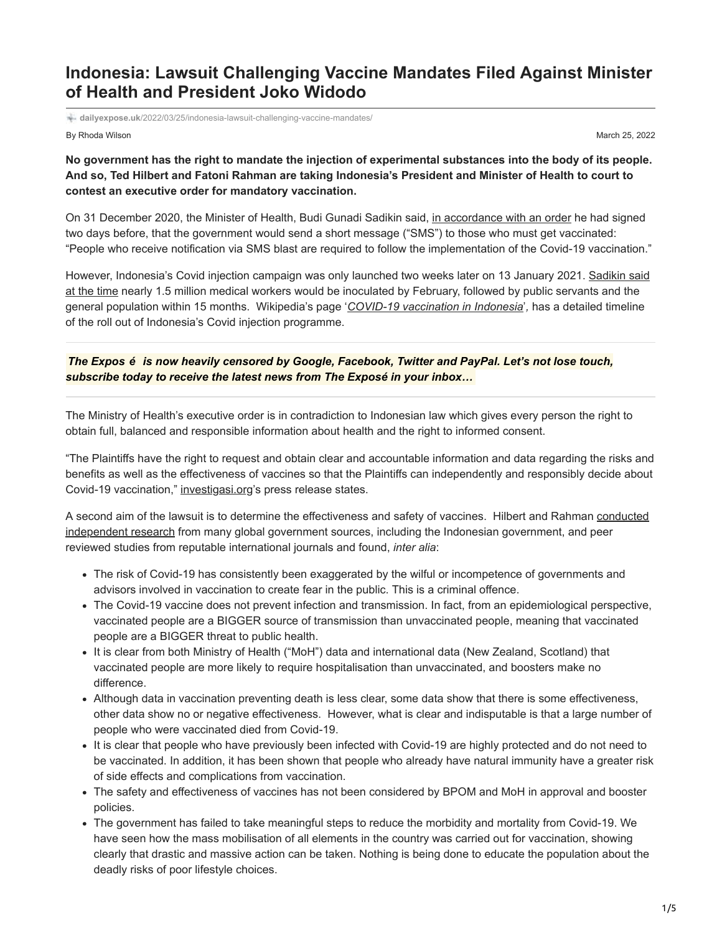## **Indonesia: Lawsuit Challenging Vaccine Mandates Filed Against Minister of Health and President Joko Widodo**

**dailyexpose.uk**[/2022/03/25/indonesia-lawsuit-challenging-vaccine-mandates/](https://dailyexpose.uk/2022/03/25/indonesia-lawsuit-challenging-vaccine-mandates/)

By Rhoda Wilson March 25, 2022

**No government has the right to mandate the injection of experimental substances into the body of its people. And so, Ted Hilbert and Fatoni Rahman are taking Indonesia's President and Minister of Health to court to contest an executive order for mandatory vaccination.**

On 31 December 2020, the Minister of Health, Budi Gunadi Sadikin said, [in accordance with an order](https://newssetup.kontan.co.id/news/tak-boleh-menolak-warga-yang-terima-sms-dari-kemenkes-wajib-vaksin-covid-19) he had signed two days before, that the government would send a short message ("SMS") to those who must get vaccinated: "People who receive notification via SMS blast are required to follow the implementation of the Covid-19 vaccination."

[However, Indonesia's Covid injection campaign was only launched two weeks later on 13 January 2021. Sadikin said](https://www.reuters.com/article/us-health-coronavirus-indonesia/indonesia-launches-vaccination-drive-as-covid-19-deaths-hit-record-idUSKBN29I09U) at the time nearly 1.5 million medical workers would be inoculated by February, followed by public servants and the general population within 15 months. Wikipedia's page '*[COVID-19 vaccination in Indonesia](https://en.wikipedia.org/wiki/COVID-19_vaccination_in_Indonesia)*'*,* has a detailed timeline of the roll out of Indonesia's Covid injection programme.

*The Expos é is now heavily censored by Google, Facebook, Twitter and PayPal. Let's not lose touch, subscribe today to receive the latest news from The Exposé in your inbox…*

The Ministry of Health's executive order is in contradiction to Indonesian law which gives every person the right to obtain full, balanced and responsible information about health and the right to informed consent.

"The Plaintiffs have the right to request and obtain clear and accountable information and data regarding the risks and benefits as well as the effectiveness of vaccines so that the Plaintiffs can independently and responsibly decide about Covid-19 vaccination," [investigasi.org'](https://investigasi.org/tentang-kami/)s press release states.

[A second aim of the lawsuit is to determine the effectiveness and safety of vaccines. Hilbert and Rahman conducted](https://investigasi-org.translate.goog/analisis-lengkap-dan-ilmiah-penipuan-vaksin-covid19/?_x_tr_sl=id&_x_tr_tl=en&_x_tr_hl=en-US&_x_tr_pto=wapp) independent research from many global government sources, including the Indonesian government, and peer reviewed studies from reputable international journals and found, *inter alia*:

- The risk of Covid-19 has consistently been exaggerated by the wilful or incompetence of governments and advisors involved in vaccination to create fear in the public. This is a criminal offence.
- The Covid-19 vaccine does not prevent infection and transmission. In fact, from an epidemiological perspective, vaccinated people are a BIGGER source of transmission than unvaccinated people, meaning that vaccinated people are a BIGGER threat to public health.
- It is clear from both Ministry of Health ("MoH") data and international data (New Zealand, Scotland) that vaccinated people are more likely to require hospitalisation than unvaccinated, and boosters make no difference.
- Although data in vaccination preventing death is less clear, some data show that there is some effectiveness, other data show no or negative effectiveness. However, what is clear and indisputable is that a large number of people who were vaccinated died from Covid-19.
- It is clear that people who have previously been infected with Covid-19 are highly protected and do not need to be vaccinated. In addition, it has been shown that people who already have natural immunity have a greater risk of side effects and complications from vaccination.
- The safety and effectiveness of vaccines has not been considered by BPOM and MoH in approval and booster policies.
- The government has failed to take meaningful steps to reduce the morbidity and mortality from Covid-19. We have seen how the mass mobilisation of all elements in the country was carried out for vaccination, showing clearly that drastic and massive action can be taken. Nothing is being done to educate the population about the deadly risks of poor lifestyle choices.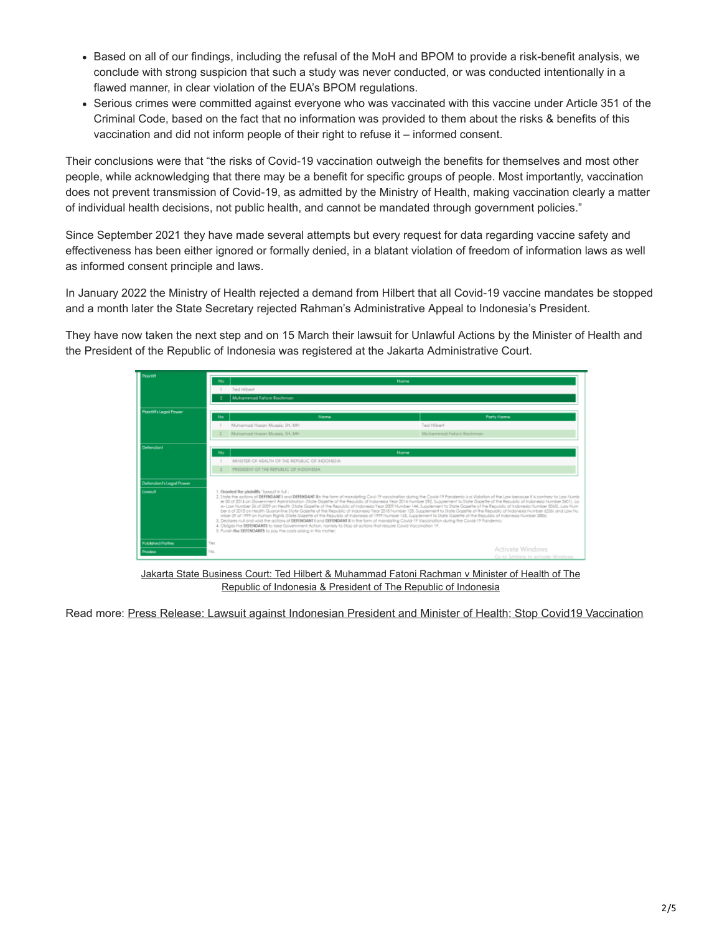- Based on all of our findings, including the refusal of the MoH and BPOM to provide a risk-benefit analysis, we conclude with strong suspicion that such a study was never conducted, or was conducted intentionally in a flawed manner, in clear violation of the EUA's BPOM regulations.
- Serious crimes were committed against everyone who was vaccinated with this vaccine under Article 351 of the Criminal Code, based on the fact that no information was provided to them about the risks & benefits of this vaccination and did not inform people of their right to refuse it – informed consent.

Their conclusions were that "the risks of Covid-19 vaccination outweigh the benefits for themselves and most other people, while acknowledging that there may be a benefit for specific groups of people. Most importantly, vaccination does not prevent transmission of Covid-19, as admitted by the Ministry of Health, making vaccination clearly a matter of individual health decisions, not public health, and cannot be mandated through government policies."

Since September 2021 they have made several attempts but every request for data regarding vaccine safety and effectiveness has been either ignored or formally denied, in a blatant violation of freedom of information laws as well as informed consent principle and laws.

In January 2022 the Ministry of Health rejected a demand from Hilbert that all Covid-19 vaccine mandates be stopped and a month later the State Secretary rejected Rahman's Administrative Appeal to Indonesia's President.

They have now taken the next step and on 15 March their lawsuit for Unlawful Actions by the Minister of Health and the President of the Republic of Indonesia was registered at the Jakarta Administrative Court.

| Pinintiff                |                                                                                                                                                                                                                                                                                                                                                                                                                                                                                                                                                                                                                                                                                                                                                                                                                                                                                                                                                                                                                                                                                                                                                                                                                                                                                                                                         |                                         |                         |                                                        |
|--------------------------|-----------------------------------------------------------------------------------------------------------------------------------------------------------------------------------------------------------------------------------------------------------------------------------------------------------------------------------------------------------------------------------------------------------------------------------------------------------------------------------------------------------------------------------------------------------------------------------------------------------------------------------------------------------------------------------------------------------------------------------------------------------------------------------------------------------------------------------------------------------------------------------------------------------------------------------------------------------------------------------------------------------------------------------------------------------------------------------------------------------------------------------------------------------------------------------------------------------------------------------------------------------------------------------------------------------------------------------------|-----------------------------------------|-------------------------|--------------------------------------------------------|
|                          | No                                                                                                                                                                                                                                                                                                                                                                                                                                                                                                                                                                                                                                                                                                                                                                                                                                                                                                                                                                                                                                                                                                                                                                                                                                                                                                                                      | Name                                    |                         |                                                        |
|                          | Ted Hilbert<br>Muhammad Fatoni Rachman                                                                                                                                                                                                                                                                                                                                                                                                                                                                                                                                                                                                                                                                                                                                                                                                                                                                                                                                                                                                                                                                                                                                                                                                                                                                                                  |                                         |                         |                                                        |
|                          |                                                                                                                                                                                                                                                                                                                                                                                                                                                                                                                                                                                                                                                                                                                                                                                                                                                                                                                                                                                                                                                                                                                                                                                                                                                                                                                                         |                                         |                         |                                                        |
| Plaintiffs Legal Pawer   |                                                                                                                                                                                                                                                                                                                                                                                                                                                                                                                                                                                                                                                                                                                                                                                                                                                                                                                                                                                                                                                                                                                                                                                                                                                                                                                                         |                                         |                         |                                                        |
|                          | No.                                                                                                                                                                                                                                                                                                                                                                                                                                                                                                                                                                                                                                                                                                                                                                                                                                                                                                                                                                                                                                                                                                                                                                                                                                                                                                                                     | Name                                    |                         | <b>Party Name</b>                                      |
|                          |                                                                                                                                                                                                                                                                                                                                                                                                                                                                                                                                                                                                                                                                                                                                                                                                                                                                                                                                                                                                                                                                                                                                                                                                                                                                                                                                         | Muhamad Hason Muasis, SH, MH            | Ted Hilbert             |                                                        |
|                          |                                                                                                                                                                                                                                                                                                                                                                                                                                                                                                                                                                                                                                                                                                                                                                                                                                                                                                                                                                                                                                                                                                                                                                                                                                                                                                                                         | Muhamad Hasen Muaziz, SH, MH            | Muhammad Fatari Rachman |                                                        |
| Defendant                |                                                                                                                                                                                                                                                                                                                                                                                                                                                                                                                                                                                                                                                                                                                                                                                                                                                                                                                                                                                                                                                                                                                                                                                                                                                                                                                                         |                                         |                         |                                                        |
|                          | No<br>Name<br>MINISTER OF HEALTH OF THE REPUBLIC OF INDONESIA.                                                                                                                                                                                                                                                                                                                                                                                                                                                                                                                                                                                                                                                                                                                                                                                                                                                                                                                                                                                                                                                                                                                                                                                                                                                                          |                                         |                         |                                                        |
|                          |                                                                                                                                                                                                                                                                                                                                                                                                                                                                                                                                                                                                                                                                                                                                                                                                                                                                                                                                                                                                                                                                                                                                                                                                                                                                                                                                         |                                         |                         |                                                        |
|                          |                                                                                                                                                                                                                                                                                                                                                                                                                                                                                                                                                                                                                                                                                                                                                                                                                                                                                                                                                                                                                                                                                                                                                                                                                                                                                                                                         | PRESIDENT OF THE REPUBLIC OF INDONESIA. |                         |                                                        |
| Defendant's Leach Power  |                                                                                                                                                                                                                                                                                                                                                                                                                                                                                                                                                                                                                                                                                                                                                                                                                                                                                                                                                                                                                                                                                                                                                                                                                                                                                                                                         |                                         |                         |                                                        |
|                          |                                                                                                                                                                                                                                                                                                                                                                                                                                                                                                                                                                                                                                                                                                                                                                                                                                                                                                                                                                                                                                                                                                                                                                                                                                                                                                                                         |                                         |                         |                                                        |
| Lowsuit                  | 1. Granted the plaintiffs "lowsuit in full:<br>2. State the actions of DEFENDANT I and DEFENDANT lin the form of mandating Cavi-19 vaccination during the Cavid-19 Pandemic is a Violation of the Law because it is contrary to Law Numb.<br>er 30 of 2014 on Government Administration (State Gazette of the Republic of Indonesia Year 2014 Number 292, Supplement to State Gazette of the Republic of Indonesia Number 5601). La<br>w- Law Number 36 of 2009 on Health State Gazette of the Republic of Indonesia Year 2009 Number 144. Supplement to State Gazette of the Republic of Indonesia Number 50631. Law Num<br>ber 6 of 2018 on Health Quarantine State Gazette of the Republic of Indonesia Year 2018 Number 128, Supplement to State Gazette of the Republic of Indonesia Number 62361 and Law Nu<br>mber 39 of 1999 on Human Rights State Gazette of the Republic of Indonesia of 1999 Number 165, Supplement to State Gazette of the Republic of Indonesia Number 3886)<br>3. Declares null and void the actions of DEFENDANT I and DEFENDANT II in the form of mandating Covid-19 Vaccination during the Cavid-19 Pandemic<br>4. Obliges the DEFENDANTS to take Government Action, nomely to Stop all aptions that require Covid Vaccination 19.<br>5. Punish the DEFENDANTS to pay the cash origing in this matter. |                                         |                         |                                                        |
| <b>Published Parties</b> | Yes                                                                                                                                                                                                                                                                                                                                                                                                                                                                                                                                                                                                                                                                                                                                                                                                                                                                                                                                                                                                                                                                                                                                                                                                                                                                                                                                     |                                         |                         |                                                        |
| <b>Procino</b>           | No.                                                                                                                                                                                                                                                                                                                                                                                                                                                                                                                                                                                                                                                                                                                                                                                                                                                                                                                                                                                                                                                                                                                                                                                                                                                                                                                                     |                                         |                         | Activate Windows<br>Go to Settings to activate Windows |

[Jakarta State Business Court: Ted Hilbert & Muhammad Fatoni Rachman v Minister of Health of The](https://sipp.ptun-jakarta.go.id/index.php/detil_perkara) Republic of Indonesia & President of The Republic of Indonesia

Read more: [Press Release: Lawsuit against Indonesian President and Minister of Health; Stop Covid19 Vaccination](https://investigasi.org/press-release-lawsuit-against-indonesian-president-and-minister-of-health-stop-covid19-vaccination/)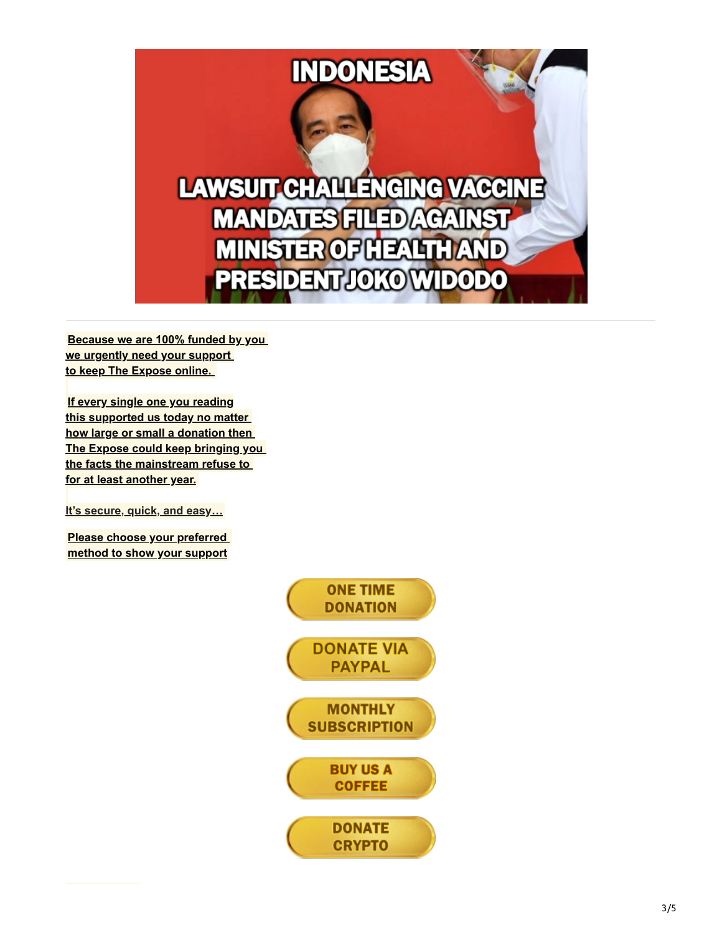

**[Because we are 100% funded by you](https://dailyexpose.uk/2022/04/07/april-fundraising-campaign-expose/)  we urgently need your support to keep The Expose online.** 

**If every single one you reading this supported us today no matter how large or small a donation then [The Expose could keep bringing you](https://dailyexpose.uk/2022/04/07/april-fundraising-campaign-expose/)  the facts the mainstream refuse to for at least another year.**

**[It's secure, quick, and easy…](https://dailyexpose.uk/2022/04/07/april-fundraising-campaign-expose/)**

**[Please choose your preferred](https://dailyexpose.uk/2022/04/07/april-fundraising-campaign-expose/)  method to show your support**

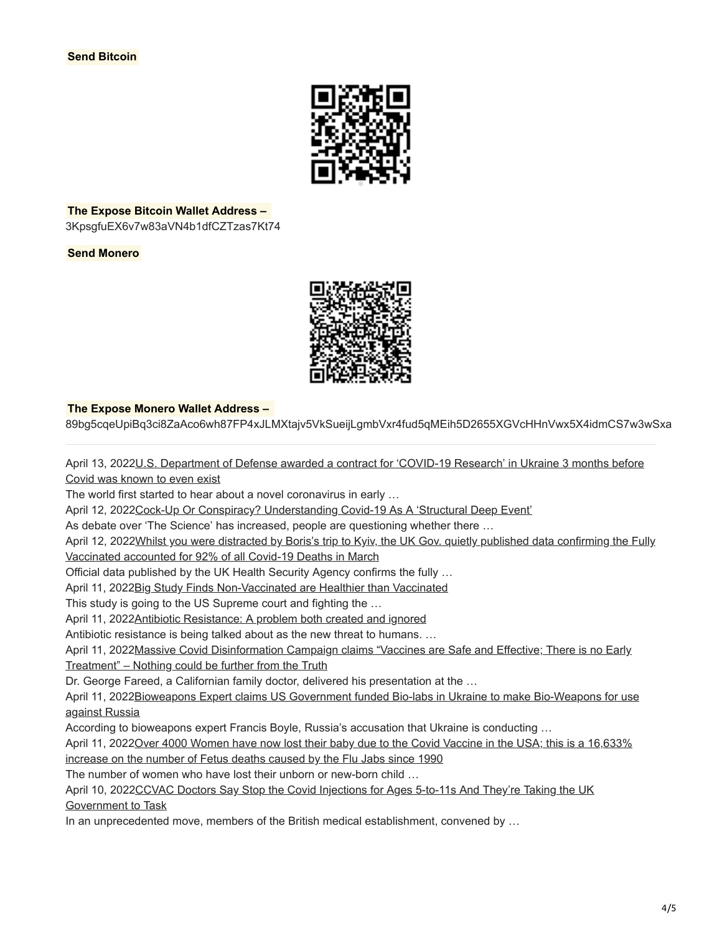

**The Expose Bitcoin Wallet Address –** 

3KpsgfuEX6v7w83aVN4b1dfCZTzas7Kt74

**Send Monero**



## **The Expose Monero Wallet Address –**

89bg5cqeUpiBq3ci8ZaAco6wh87FP4xJLMXtajv5VkSueijLgmbVxr4fud5qMEih5D2655XGVcHHnVwx5X4idmCS7w3wSxa

[April 13, 2022U.S. Department of Defense awarded a contract for 'COVID-19 Research' in Ukraine 3 months before](https://dailyexpose.uk/2022/04/13/us-dod-contract-covid-research-ukraine-nov-2019/) Covid was known to even exist

The world first started to hear about a novel coronavirus in early …

April 12, 2022[Cock-Up Or Conspiracy? Understanding Covid-19 As A 'Structural Deep Event'](https://dailyexpose.uk/2022/04/12/understanding-covid-as-a-structural-deep-event/)

As debate over 'The Science' has increased, people are questioning whether there …

April 12, 2022 Whilst you were distracted by Boris's trip to Kyiv, the UK Gov. quietly published data confirming the Fully

Vaccinated accounted for 92% of all Covid-19 Deaths in March

Official data published by the UK Health Security Agency confirms the fully …

April 11, 202[2Big Study Finds Non-Vaccinated are Healthier than Vaccinated](https://dailyexpose.uk/2022/04/11/study-finds-non-vaccinated-are-healthier-than-vaccinated/)

This study is going to the US Supreme court and fighting the …

April 11, 202[2Antibiotic Resistance: A problem both created and ignored](https://dailyexpose.uk/2022/04/11/antibiotic-resistance-a-problem-ignored/)

Antibiotic resistance is being talked about as the new threat to humans. …

[April 11, 2022Massive Covid Disinformation Campaign claims "Vaccines are Safe and Effective; There is no Early](https://dailyexpose.uk/2022/04/11/covid-disinformation-nothing-could-be-further-from-the-truth/) Treatment" – Nothing could be further from the Truth

Dr. George Fareed, a Californian family doctor, delivered his presentation at the …

[April 11, 2022Bioweapons Expert claims US Government funded Bio-labs in Ukraine to make Bio-Weapons for use](https://dailyexpose.uk/2022/04/11/us-funded-bioweapons-ukraine-use-against-russia/) against Russia

According to bioweapons expert Francis Boyle, Russia's accusation that Ukraine is conducting …

[April 11, 2022Over 4000 Women have now lost their baby due to the Covid Vaccine in the USA; this is a 16,633%](https://dailyexpose.uk/2022/04/11/4000-women-lost-baby-covid-vaccine-usa/)

increase on the number of Fetus deaths caused by the Flu Jabs since 1990

The number of women who have lost their unborn or new-born child …

[April 10, 2022CCVAC Doctors Say Stop the Covid Injections for Ages 5-to-11s And They're Taking the UK](https://dailyexpose.uk/2022/04/10/doctors-say-stop-the-covid-injections-for-ages-5-to-11s/)

Government to Task

In an unprecedented move, members of the British medical establishment, convened by ...